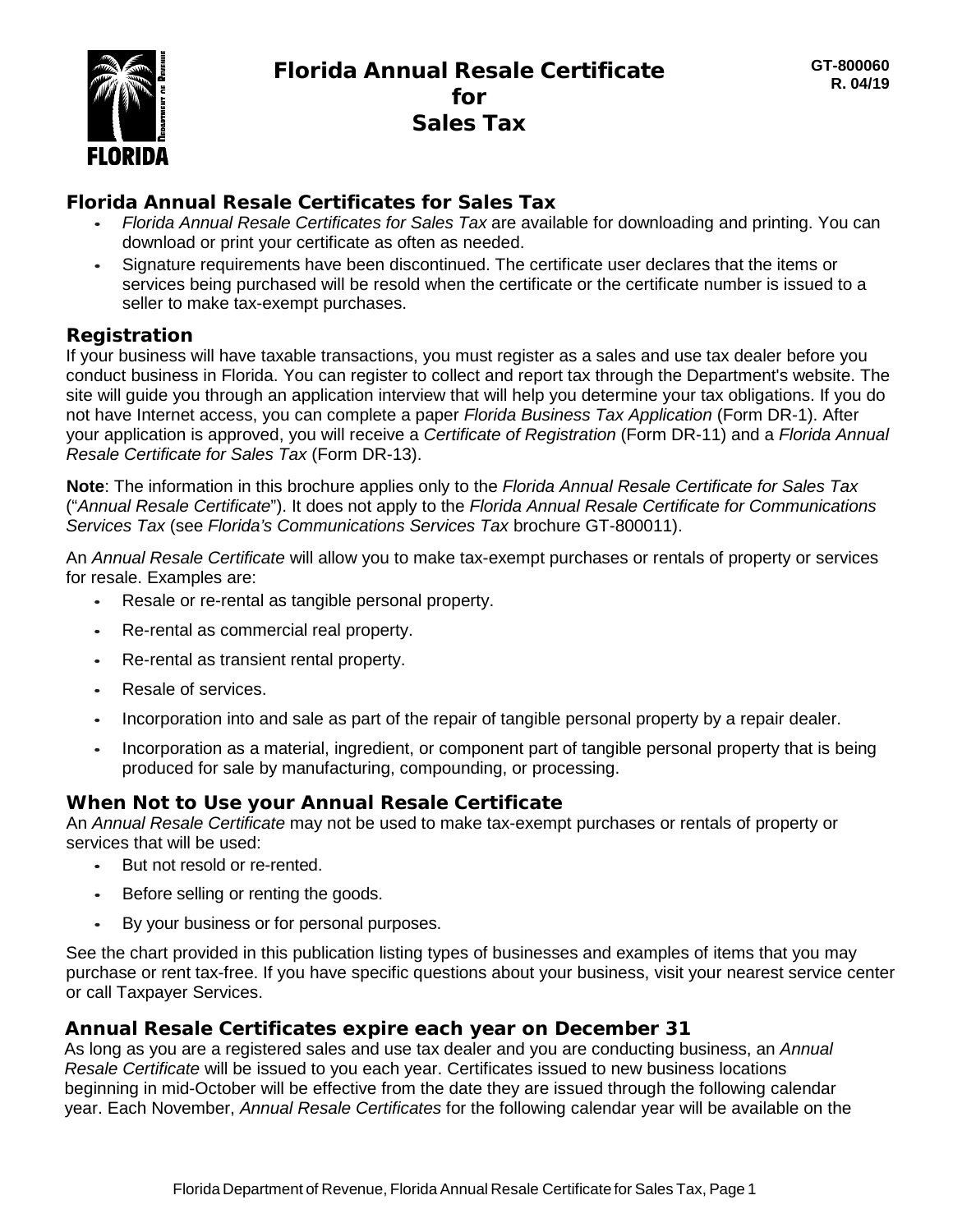

## *Florida Annual Resale Certificates for Sales Tax*

- **•** *Florida Annual Resale Certificates for Sales Tax* are available for downloading and printing. You can download or print your certificate as often as needed.
- **•** Signature requirements have been discontinued. The certificate user declares that the items or services being purchased will be resold when the certificate or the certificate number is issued to a seller to make tax-exempt purchases.

## **Registration**

If your business will have taxable transactions, you must register as a sales and use tax dealer before you conduct business in Florida. You can register to collect and report tax through the Department's website. The site will guide you through an application interview that will help you determine your tax obligations. If you do not have Internet access, you can complete a paper *Florida Business Tax Application* (Form DR-1). After your application is approved, you will receive a *Certificate of Registration* (Form DR-11) and a *Florida Annual Resale Certificate for Sales Tax* (Form DR-13).

**Note**: The information in this brochure applies only to the *Florida Annual Resale Certificate for Sales Tax*  ("*Annual Resale Certificate*"). It does not apply to the *Florida Annual Resale Certificate for Communications Services Tax* (see *Florida's Communications Services Tax* brochure GT-800011).

An *Annual Resale Certificate* will allow you to make tax-exempt purchases or rentals of property or services for resale. Examples are:

- **•** Resale or re-rental as tangible personal property.
- **•** Re-rental as commercial real property.
- **•** Re-rental as transient rental property.
- **•** Resale of services.
- **•** Incorporation into and sale as part of the repair of tangible personal property by a repair dealer.
- **•** Incorporation as a material, ingredient, or component part of tangible personal property that is being produced for sale by manufacturing, compounding, or processing.

## **When Not to Use your** *Annual Resale Certificate*

An *Annual Resale Certificate* may not be used to make tax-exempt purchases or rentals of property or services that will be used:

- **•** But not resold or re-rented.
- **•** Before selling or renting the goods.
- **•** By your business or for personal purposes.

See the chart provided in this publication listing types of businesses and examples of items that you may purchase or rent tax-free. If you have specific questions about your business, visit your nearest service center or call Taxpayer Services.

## *Annual Resale Certificates* **expire each year on December 31**

As long as you are a registered sales and use tax dealer and you are conducting business, an *Annual Resale Certificate* will be issued to you each year. Certificates issued to new business locations beginning in mid-October will be effective from the date they are issued through the following calendar year. Each November, *Annual Resale Certificates* for the following calendar year will be available on the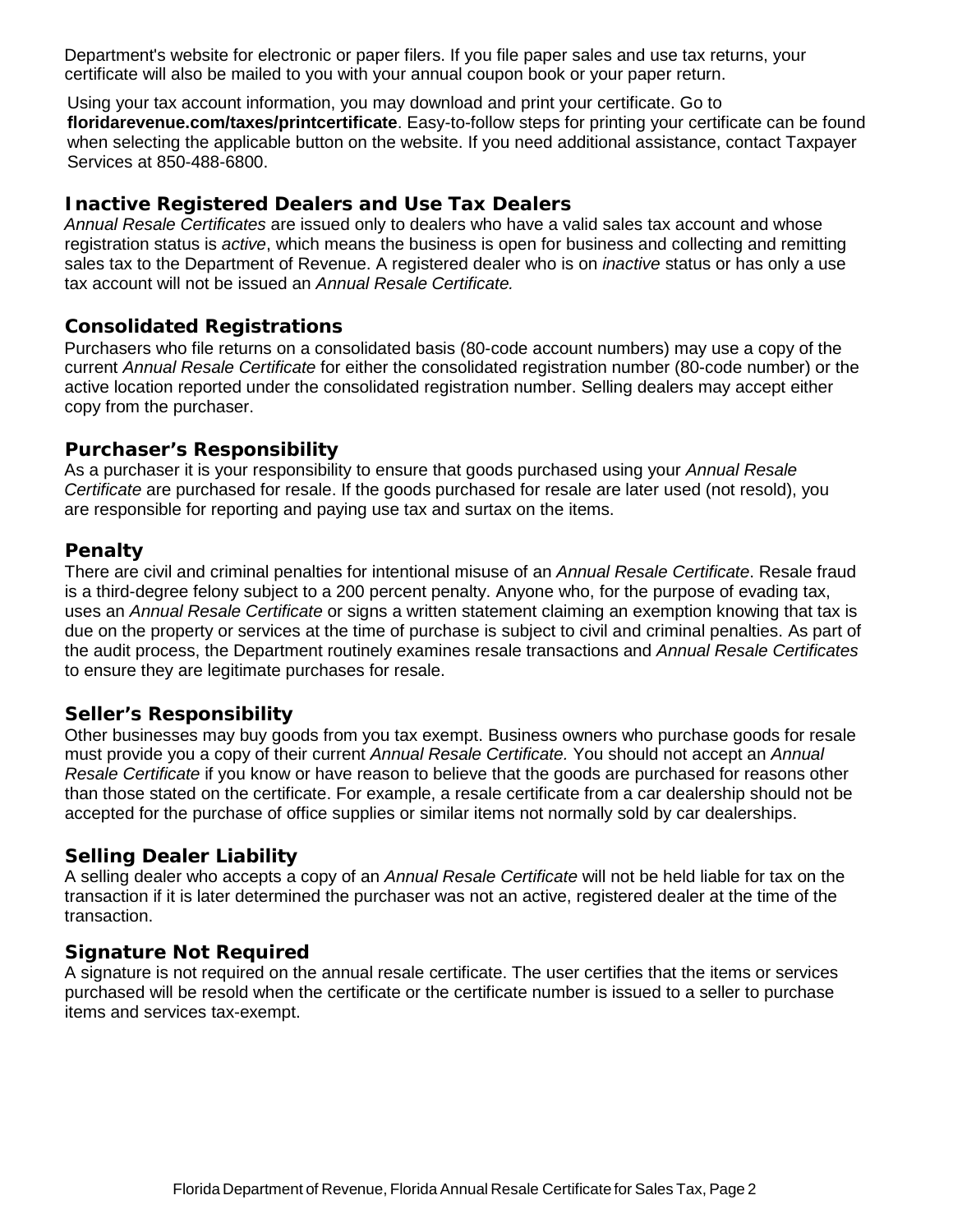Department's website for electronic or paper filers. If you file paper sales and use tax returns, your certificate will also be mailed to you with your annual coupon book or your paper return.

Using your tax account information, you may download and print your certificate. Go to **floridarevenue.com/taxes/printcertificate**. Easy-to-follow steps for printing your certificate can be found when selecting the applicable button on the website. If you need additional assistance, contact Taxpayer Services at 850-488-6800.

## **Inactive Registered Dealers and Use Tax Dealers**

*Annual Resale Certificates* are issued only to dealers who have a valid sales tax account and whose registration status is *active*, which means the business is open for business and collecting and remitting sales tax to the Department of Revenue. A registered dealer who is on *inactive* status or has only a use tax account will not be issued an *Annual Resale Certificate.*

## **Consolidated Registrations**

Purchasers who file returns on a consolidated basis (80-code account numbers) may use a copy of the current *Annual Resale Certificate* for either the consolidated registration number (80-code number) or the active location reported under the consolidated registration number. Selling dealers may accept either copy from the purchaser.

## **Purchaser's Responsibility**

As a purchaser it is your responsibility to ensure that goods purchased using your *Annual Resale Certificate* are purchased for resale. If the goods purchased for resale are later used (not resold), you are responsible for reporting and paying use tax and surtax on the items.

## **Penalty**

There are civil and criminal penalties for intentional misuse of an *Annual Resale Certificate*. Resale fraud is a third-degree felony subject to a 200 percent penalty. Anyone who, for the purpose of evading tax, uses an *Annual Resale Certificate* or signs a written statement claiming an exemption knowing that tax is due on the property or services at the time of purchase is subject to civil and criminal penalties. As part of the audit process, the Department routinely examines resale transactions and *Annual Resale Certificates*  to ensure they are legitimate purchases for resale.

## **Seller's Responsibility**

Other businesses may buy goods from you tax exempt. Business owners who purchase goods for resale must provide you a copy of their current *Annual Resale Certificate.* You should not accept an *Annual Resale Certificate* if you know or have reason to believe that the goods are purchased for reasons other than those stated on the certificate. For example, a resale certificate from a car dealership should not be accepted for the purchase of office supplies or similar items not normally sold by car dealerships.

## **Selling Dealer Liability**

A selling dealer who accepts a copy of an *Annual Resale Certificate* will not be held liable for tax on the transaction if it is later determined the purchaser was not an active, registered dealer at the time of the transaction.

## **Signature Not Required**

A signature is not required on the annual resale certificate. The user certifies that the items or services purchased will be resold when the certificate or the certificate number is issued to a seller to purchase items and services tax-exempt.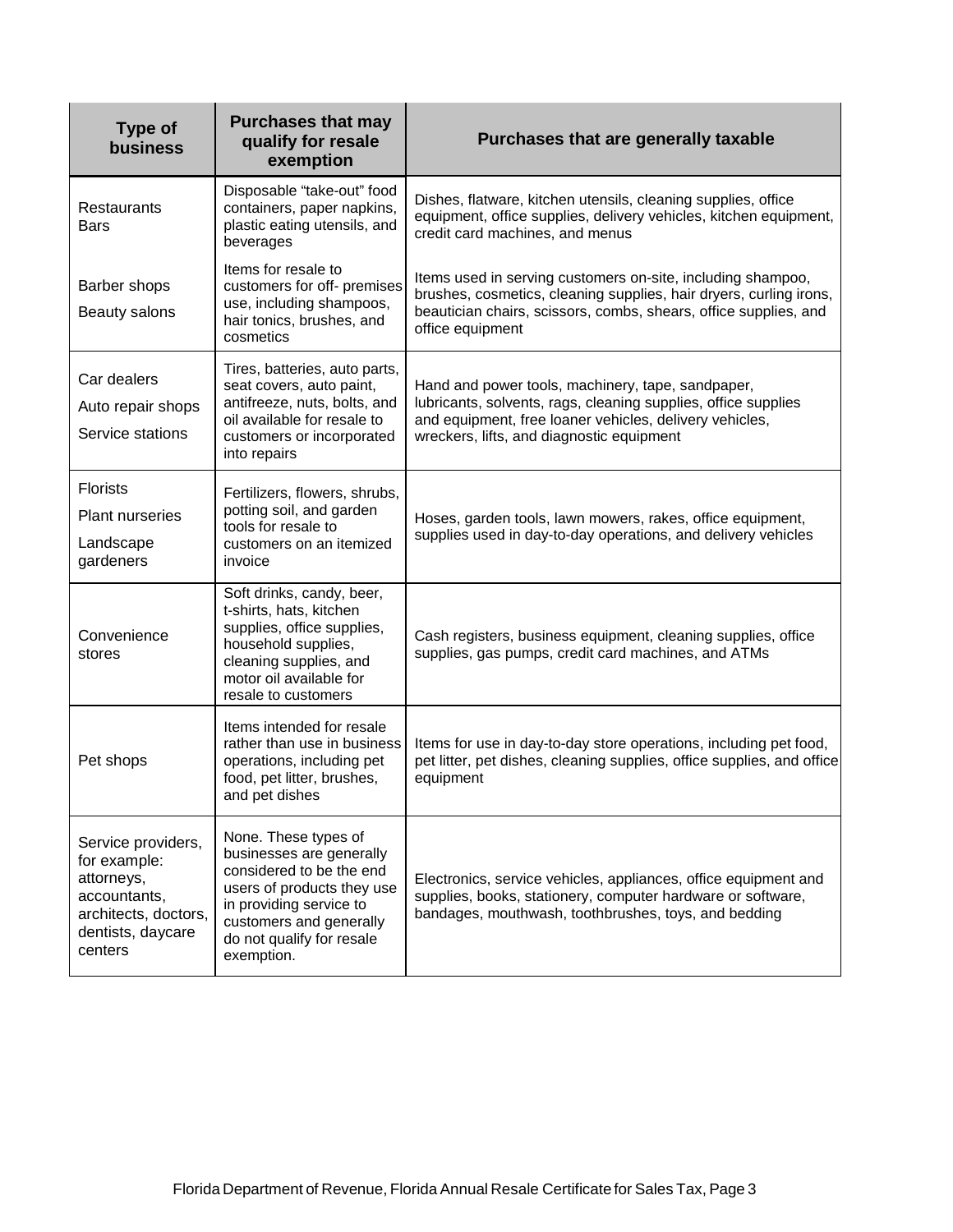| <b>Type of</b><br>business                                                                                               | <b>Purchases that may</b><br>qualify for resale<br>exemption                                                                                                                                                | Purchases that are generally taxable                                                                                                                                                                                        |
|--------------------------------------------------------------------------------------------------------------------------|-------------------------------------------------------------------------------------------------------------------------------------------------------------------------------------------------------------|-----------------------------------------------------------------------------------------------------------------------------------------------------------------------------------------------------------------------------|
| Restaurants<br>Bars                                                                                                      | Disposable "take-out" food<br>containers, paper napkins,<br>plastic eating utensils, and<br>beverages                                                                                                       | Dishes, flatware, kitchen utensils, cleaning supplies, office<br>equipment, office supplies, delivery vehicles, kitchen equipment,<br>credit card machines, and menus                                                       |
| Barber shops<br>Beauty salons                                                                                            | Items for resale to<br>customers for off- premises<br>use, including shampoos,<br>hair tonics, brushes, and<br>cosmetics                                                                                    | Items used in serving customers on-site, including shampoo,<br>brushes, cosmetics, cleaning supplies, hair dryers, curling irons,<br>beautician chairs, scissors, combs, shears, office supplies, and<br>office equipment   |
| Car dealers<br>Auto repair shops<br>Service stations                                                                     | Tires, batteries, auto parts,<br>seat covers, auto paint,<br>antifreeze, nuts, bolts, and<br>oil available for resale to<br>customers or incorporated<br>into repairs                                       | Hand and power tools, machinery, tape, sandpaper,<br>lubricants, solvents, rags, cleaning supplies, office supplies<br>and equipment, free loaner vehicles, delivery vehicles,<br>wreckers, lifts, and diagnostic equipment |
| <b>Florists</b><br>Plant nurseries<br>Landscape<br>gardeners                                                             | Fertilizers, flowers, shrubs,<br>potting soil, and garden<br>tools for resale to<br>customers on an itemized<br>invoice                                                                                     | Hoses, garden tools, lawn mowers, rakes, office equipment,<br>supplies used in day-to-day operations, and delivery vehicles                                                                                                 |
| Convenience<br>stores                                                                                                    | Soft drinks, candy, beer,<br>t-shirts, hats, kitchen<br>supplies, office supplies,<br>household supplies,<br>cleaning supplies, and<br>motor oil available for<br>resale to customers                       | Cash registers, business equipment, cleaning supplies, office<br>supplies, gas pumps, credit card machines, and ATMs                                                                                                        |
| Pet shops                                                                                                                | Items intended for resale<br>rather than use in business<br>operations, including pet<br>food, pet litter, brushes,<br>and pet dishes                                                                       | Items for use in day-to-day store operations, including pet food,<br>pet litter, pet dishes, cleaning supplies, office supplies, and office<br>equipment                                                                    |
| Service providers,<br>for example:<br>attorneys,<br>accountants,<br>architects, doctors,<br>dentists, daycare<br>centers | None. These types of<br>businesses are generally<br>considered to be the end<br>users of products they use<br>in providing service to<br>customers and generally<br>do not qualify for resale<br>exemption. | Electronics, service vehicles, appliances, office equipment and<br>supplies, books, stationery, computer hardware or software,<br>bandages, mouthwash, toothbrushes, toys, and bedding                                      |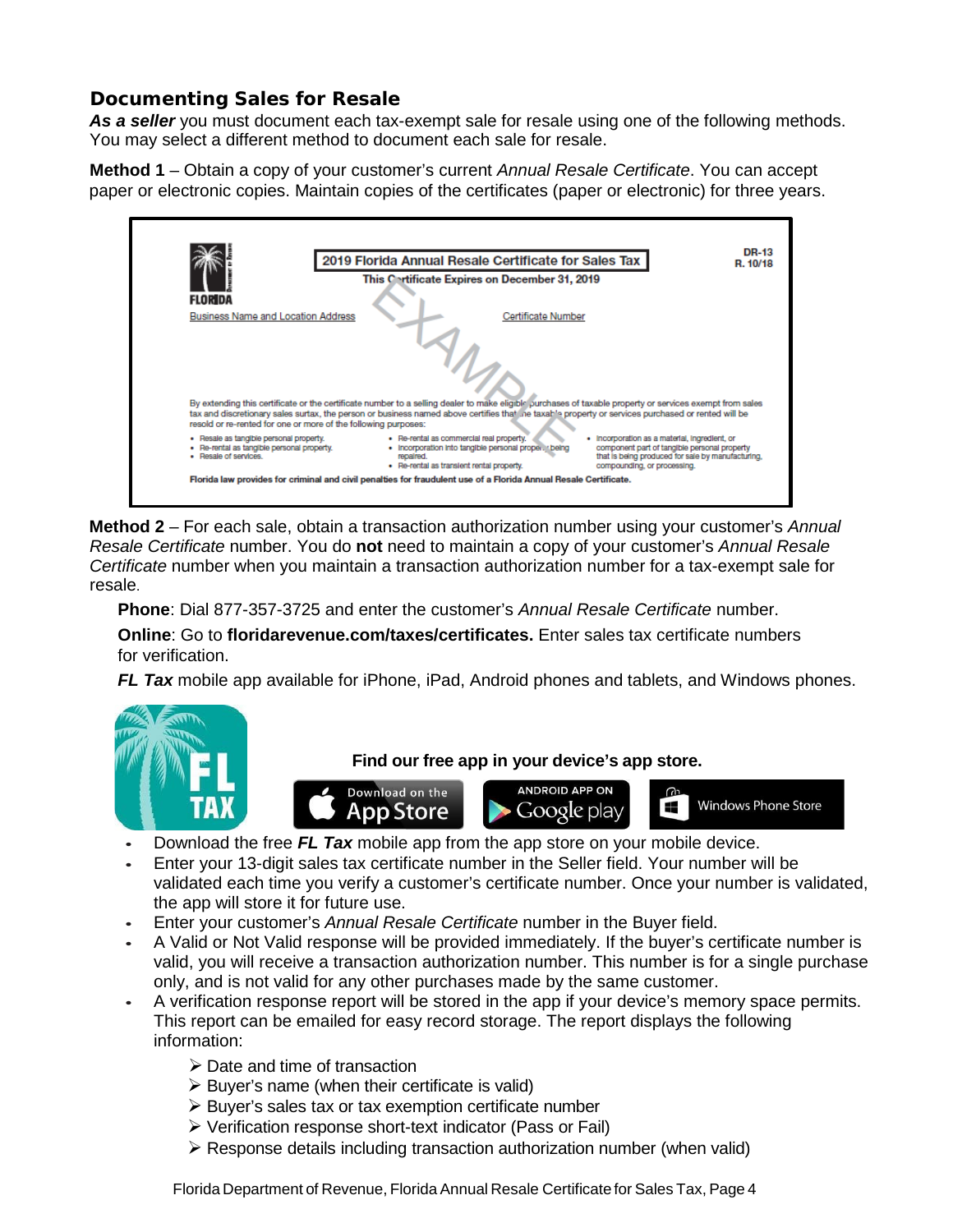# **Documenting Sales for Resale**

As a seller you must document each tax-exempt sale for resale using one of the following methods. You may select a different method to document each sale for resale.

**Method 1** – Obtain a copy of your customer's current *Annual Resale Certificate*. You can accept paper or electronic copies. Maintain copies of the certificates (paper or electronic) for three years.



**Method 2** – For each sale, obtain a transaction authorization number using your customer's *Annual Resale Certificate* number. You do **not** need to maintain a copy of your customer's *Annual Resale Certificate* number when you maintain a transaction authorization number for a tax-exempt sale for resale.

**Phone**: Dial 877-357-3725 and enter the customer's *Annual Resale Certificate* number.

**Online**: Go to **floridarevenue.com/taxes/certificates.** Enter sales tax certificate numbers for verification.

*FL Tax* mobile app available for iPhone, iPad, Android phones and tablets, and Windows phones.



**Find our free app in your device's app store.**





m **Windows Phone Store**  $\mathbf{r}$ 

- **•** Download the free *FL Tax* mobile app from the app store on your mobile device.
- **•** Enter your 13-digit sales tax certificate number in the Seller field. Your number will be validated each time you verify a customer's certificate number. Once your number is validated, the app will store it for future use.
- **•** Enter your customer's *Annual Resale Certificate* number in the Buyer field.
- **•** A Valid or Not Valid response will be provided immediately. If the buyer's certificate number is valid, you will receive a transaction authorization number. This number is for a single purchase only, and is not valid for any other purchases made by the same customer.
- **•** A verification response report will be stored in the app if your device's memory space permits. This report can be emailed for easy record storage. The report displays the following information:
	- $\triangleright$  Date and time of transaction
	- $\triangleright$  Buyer's name (when their certificate is valid)
	- $\triangleright$  Buyer's sales tax or tax exemption certificate number
	- $\triangleright$  Verification response short-text indicator (Pass or Fail)
	- $\triangleright$  Response details including transaction authorization number (when valid)

Florida Department of Revenue, Florida Annual Resale Certificate for Sales Tax, Page 4